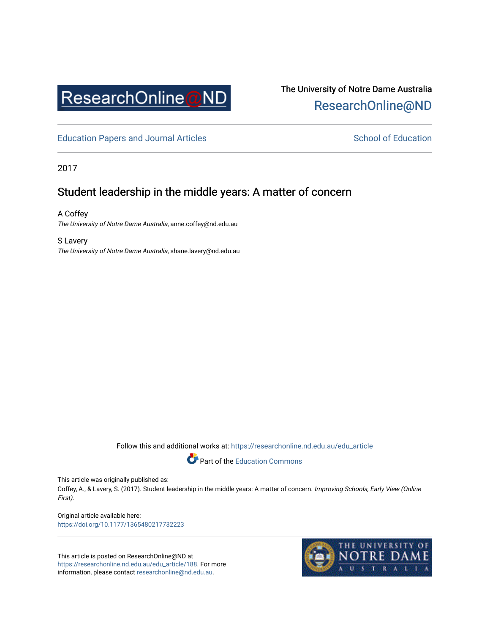

# The University of Notre Dame Australia [ResearchOnline@ND](https://researchonline.nd.edu.au/)

[Education Papers and Journal Articles](https://researchonline.nd.edu.au/edu_article) [School of Education](https://researchonline.nd.edu.au/edu) School of Education

2017

## Student leadership in the middle years: A matter of concern

A Coffey The University of Notre Dame Australia, anne.coffey@nd.edu.au

S Lavery The University of Notre Dame Australia, shane.lavery@nd.edu.au

Follow this and additional works at: [https://researchonline.nd.edu.au/edu\\_article](https://researchonline.nd.edu.au/edu_article?utm_source=researchonline.nd.edu.au%2Fedu_article%2F188&utm_medium=PDF&utm_campaign=PDFCoverPages)



This article was originally published as:

Coffey, A., & Lavery, S. (2017). Student leadership in the middle years: A matter of concern. Improving Schools, Early View (Online First).

Original article available here: <https://doi.org/10.1177/1365480217732223>

This article is posted on ResearchOnline@ND at [https://researchonline.nd.edu.au/edu\\_article/188](https://researchonline.nd.edu.au/edu_article/188). For more information, please contact [researchonline@nd.edu.au.](mailto:researchonline@nd.edu.au)

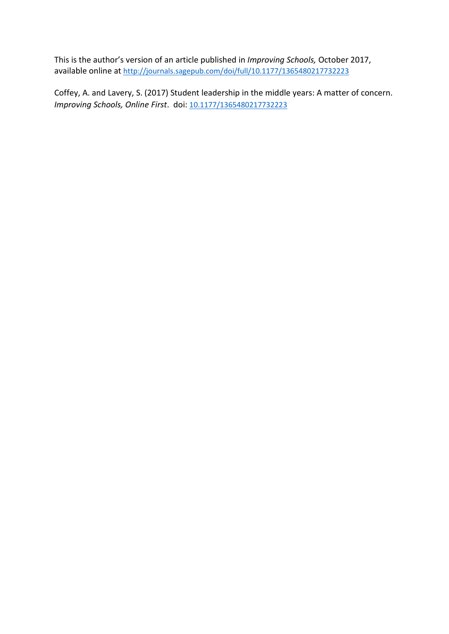This is the author's version of an article published in *Improving Schools,* October 2017, available online at <http://journals.sagepub.com/doi/full/10.1177/1365480217732223>

Coffey, A. and Lavery, S. (2017) Student leadership in the middle years: A matter of concern. *Improving Schools, Online First. doi: [10.1177/1365480217732223](https://doi.org/10.1177/1365480217732223)*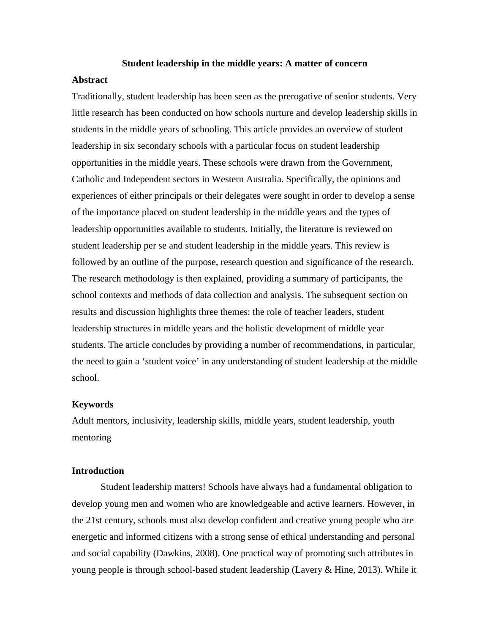#### **Student leadership in the middle years: A matter of concern**

## **Abstract**

Traditionally, student leadership has been seen as the prerogative of senior students. Very little research has been conducted on how schools nurture and develop leadership skills in students in the middle years of schooling. This article provides an overview of student leadership in six secondary schools with a particular focus on student leadership opportunities in the middle years. These schools were drawn from the Government, Catholic and Independent sectors in Western Australia. Specifically, the opinions and experiences of either principals or their delegates were sought in order to develop a sense of the importance placed on student leadership in the middle years and the types of leadership opportunities available to students. Initially, the literature is reviewed on student leadership per se and student leadership in the middle years. This review is followed by an outline of the purpose, research question and significance of the research. The research methodology is then explained, providing a summary of participants, the school contexts and methods of data collection and analysis. The subsequent section on results and discussion highlights three themes: the role of teacher leaders, student leadership structures in middle years and the holistic development of middle year students. The article concludes by providing a number of recommendations, in particular, the need to gain a 'student voice' in any understanding of student leadership at the middle school.

### **Keywords**

Adult mentors, inclusivity, leadership skills, middle years, student leadership, youth mentoring

#### **Introduction**

Student leadership matters! Schools have always had a fundamental obligation to develop young men and women who are knowledgeable and active learners. However, in the 21st century, schools must also develop confident and creative young people who are energetic and informed citizens with a strong sense of ethical understanding and personal and social capability (Dawkins, 2008). One practical way of promoting such attributes in young people is through school-based student leadership (Lavery & Hine, 2013). While it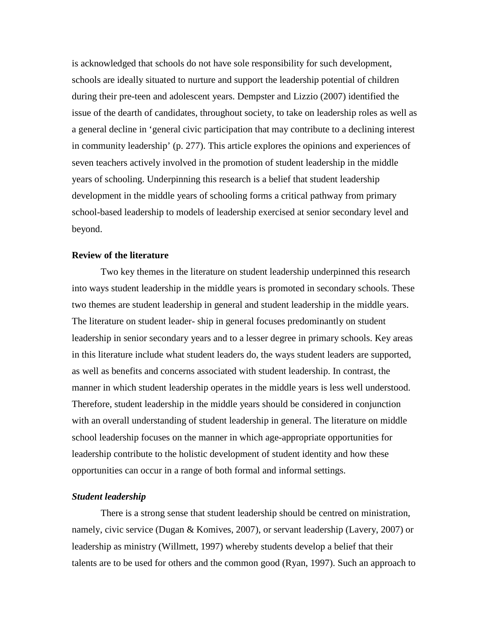is acknowledged that schools do not have sole responsibility for such development, schools are ideally situated to nurture and support the leadership potential of children during their pre-teen and adolescent years. Dempster and Lizzio (2007) identified the issue of the dearth of candidates, throughout society, to take on leadership roles as well as a general decline in 'general civic participation that may contribute to a declining interest in community leadership' (p. 277). This article explores the opinions and experiences of seven teachers actively involved in the promotion of student leadership in the middle years of schooling. Underpinning this research is a belief that student leadership development in the middle years of schooling forms a critical pathway from primary school-based leadership to models of leadership exercised at senior secondary level and beyond.

#### **Review of the literature**

Two key themes in the literature on student leadership underpinned this research into ways student leadership in the middle years is promoted in secondary schools. These two themes are student leadership in general and student leadership in the middle years. The literature on student leader- ship in general focuses predominantly on student leadership in senior secondary years and to a lesser degree in primary schools. Key areas in this literature include what student leaders do, the ways student leaders are supported, as well as benefits and concerns associated with student leadership. In contrast, the manner in which student leadership operates in the middle years is less well understood. Therefore, student leadership in the middle years should be considered in conjunction with an overall understanding of student leadership in general. The literature on middle school leadership focuses on the manner in which age-appropriate opportunities for leadership contribute to the holistic development of student identity and how these opportunities can occur in a range of both formal and informal settings.

## *Student leadership*

There is a strong sense that student leadership should be centred on ministration, namely, civic service (Dugan & Komives, 2007), or servant leadership (Lavery, 2007) or leadership as ministry (Willmett, 1997) whereby students develop a belief that their talents are to be used for others and the common good (Ryan, 1997). Such an approach to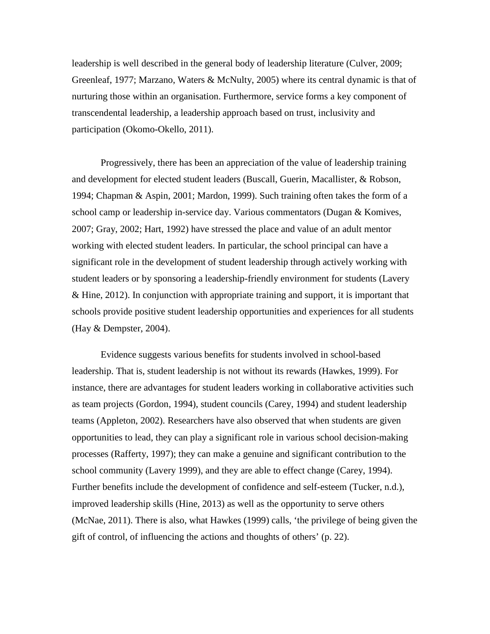leadership is well described in the general body of leadership literature (Culver, 2009; Greenleaf, 1977; Marzano, Waters & McNulty, 2005) where its central dynamic is that of nurturing those within an organisation. Furthermore, service forms a key component of transcendental leadership, a leadership approach based on trust, inclusivity and participation (Okomo-Okello, 2011).

Progressively, there has been an appreciation of the value of leadership training and development for elected student leaders (Buscall, Guerin, Macallister, & Robson, 1994; Chapman & Aspin, 2001; Mardon, 1999). Such training often takes the form of a school camp or leadership in-service day. Various commentators (Dugan & Komives, 2007; Gray, 2002; Hart, 1992) have stressed the place and value of an adult mentor working with elected student leaders. In particular, the school principal can have a significant role in the development of student leadership through actively working with student leaders or by sponsoring a leadership-friendly environment for students (Lavery & Hine, 2012). In conjunction with appropriate training and support, it is important that schools provide positive student leadership opportunities and experiences for all students (Hay & Dempster, 2004).

Evidence suggests various benefits for students involved in school-based leadership. That is, student leadership is not without its rewards (Hawkes, 1999). For instance, there are advantages for student leaders working in collaborative activities such as team projects (Gordon, 1994), student councils (Carey, 1994) and student leadership teams (Appleton, 2002). Researchers have also observed that when students are given opportunities to lead, they can play a significant role in various school decision-making processes (Rafferty, 1997); they can make a genuine and significant contribution to the school community (Lavery 1999), and they are able to effect change (Carey, 1994). Further benefits include the development of confidence and self-esteem (Tucker, n.d.), improved leadership skills (Hine, 2013) as well as the opportunity to serve others (McNae, 2011). There is also, what Hawkes (1999) calls, 'the privilege of being given the gift of control, of influencing the actions and thoughts of others' (p. 22).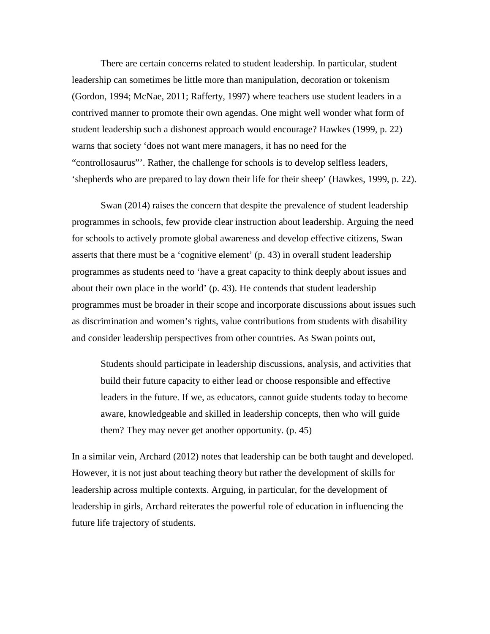There are certain concerns related to student leadership. In particular, student leadership can sometimes be little more than manipulation, decoration or tokenism (Gordon, 1994; McNae, 2011; Rafferty, 1997) where teachers use student leaders in a contrived manner to promote their own agendas. One might well wonder what form of student leadership such a dishonest approach would encourage? Hawkes (1999, p. 22) warns that society 'does not want mere managers, it has no need for the "controllosaurus"'. Rather, the challenge for schools is to develop selfless leaders, 'shepherds who are prepared to lay down their life for their sheep' (Hawkes, 1999, p. 22).

Swan (2014) raises the concern that despite the prevalence of student leadership programmes in schools, few provide clear instruction about leadership. Arguing the need for schools to actively promote global awareness and develop effective citizens, Swan asserts that there must be a 'cognitive element' (p. 43) in overall student leadership programmes as students need to 'have a great capacity to think deeply about issues and about their own place in the world' (p. 43). He contends that student leadership programmes must be broader in their scope and incorporate discussions about issues such as discrimination and women's rights, value contributions from students with disability and consider leadership perspectives from other countries. As Swan points out,

Students should participate in leadership discussions, analysis, and activities that build their future capacity to either lead or choose responsible and effective leaders in the future. If we, as educators, cannot guide students today to become aware, knowledgeable and skilled in leadership concepts, then who will guide them? They may never get another opportunity. (p. 45)

In a similar vein, Archard (2012) notes that leadership can be both taught and developed. However, it is not just about teaching theory but rather the development of skills for leadership across multiple contexts. Arguing, in particular, for the development of leadership in girls, Archard reiterates the powerful role of education in influencing the future life trajectory of students.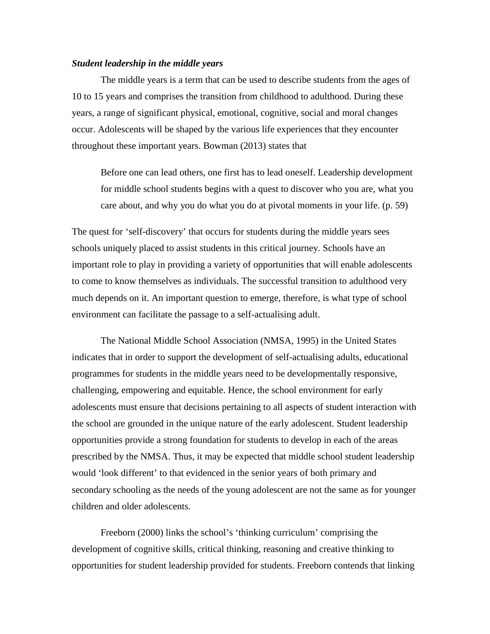#### *Student leadership in the middle years*

The middle years is a term that can be used to describe students from the ages of 10 to 15 years and comprises the transition from childhood to adulthood. During these years, a range of significant physical, emotional, cognitive, social and moral changes occur. Adolescents will be shaped by the various life experiences that they encounter throughout these important years. Bowman (2013) states that

Before one can lead others, one first has to lead oneself. Leadership development for middle school students begins with a quest to discover who you are, what you care about, and why you do what you do at pivotal moments in your life. (p. 59)

The quest for 'self-discovery' that occurs for students during the middle years sees schools uniquely placed to assist students in this critical journey. Schools have an important role to play in providing a variety of opportunities that will enable adolescents to come to know themselves as individuals. The successful transition to adulthood very much depends on it. An important question to emerge, therefore, is what type of school environment can facilitate the passage to a self-actualising adult.

The National Middle School Association (NMSA, 1995) in the United States indicates that in order to support the development of self-actualising adults, educational programmes for students in the middle years need to be developmentally responsive, challenging, empowering and equitable. Hence, the school environment for early adolescents must ensure that decisions pertaining to all aspects of student interaction with the school are grounded in the unique nature of the early adolescent. Student leadership opportunities provide a strong foundation for students to develop in each of the areas prescribed by the NMSA. Thus, it may be expected that middle school student leadership would 'look different' to that evidenced in the senior years of both primary and secondary schooling as the needs of the young adolescent are not the same as for younger children and older adolescents.

Freeborn (2000) links the school's 'thinking curriculum' comprising the development of cognitive skills, critical thinking, reasoning and creative thinking to opportunities for student leadership provided for students. Freeborn contends that linking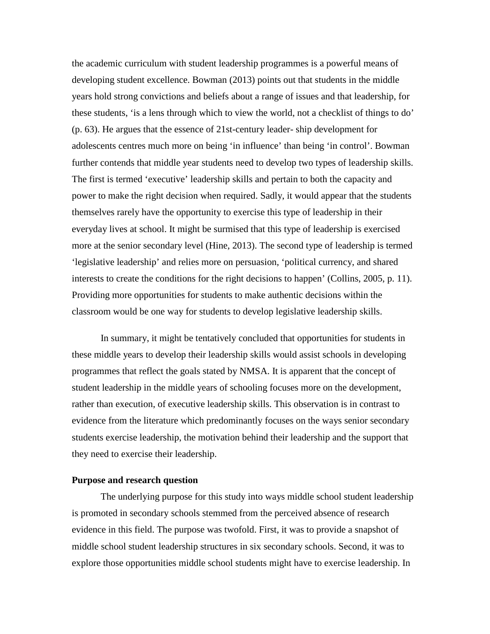the academic curriculum with student leadership programmes is a powerful means of developing student excellence. Bowman (2013) points out that students in the middle years hold strong convictions and beliefs about a range of issues and that leadership, for these students, 'is a lens through which to view the world, not a checklist of things to do' (p. 63). He argues that the essence of 21st-century leader- ship development for adolescents centres much more on being 'in influence' than being 'in control'. Bowman further contends that middle year students need to develop two types of leadership skills. The first is termed 'executive' leadership skills and pertain to both the capacity and power to make the right decision when required. Sadly, it would appear that the students themselves rarely have the opportunity to exercise this type of leadership in their everyday lives at school. It might be surmised that this type of leadership is exercised more at the senior secondary level (Hine, 2013). The second type of leadership is termed 'legislative leadership' and relies more on persuasion, 'political currency, and shared interests to create the conditions for the right decisions to happen' (Collins, 2005, p. 11). Providing more opportunities for students to make authentic decisions within the classroom would be one way for students to develop legislative leadership skills.

In summary, it might be tentatively concluded that opportunities for students in these middle years to develop their leadership skills would assist schools in developing programmes that reflect the goals stated by NMSA. It is apparent that the concept of student leadership in the middle years of schooling focuses more on the development, rather than execution, of executive leadership skills. This observation is in contrast to evidence from the literature which predominantly focuses on the ways senior secondary students exercise leadership, the motivation behind their leadership and the support that they need to exercise their leadership.

## **Purpose and research question**

The underlying purpose for this study into ways middle school student leadership is promoted in secondary schools stemmed from the perceived absence of research evidence in this field. The purpose was twofold. First, it was to provide a snapshot of middle school student leadership structures in six secondary schools. Second, it was to explore those opportunities middle school students might have to exercise leadership. In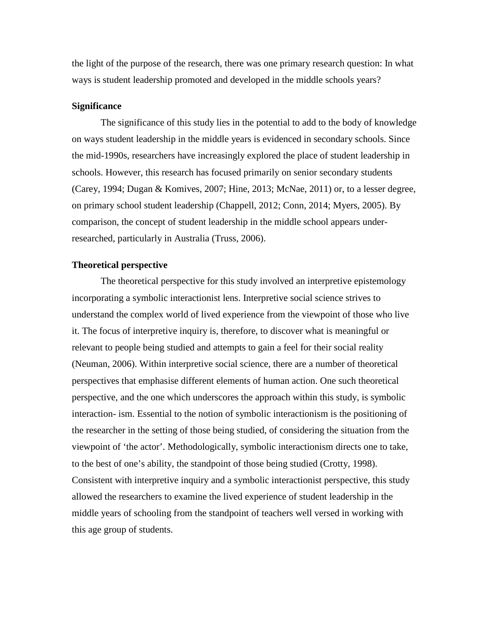the light of the purpose of the research, there was one primary research question: In what ways is student leadership promoted and developed in the middle schools years?

## **Significance**

The significance of this study lies in the potential to add to the body of knowledge on ways student leadership in the middle years is evidenced in secondary schools. Since the mid-1990s, researchers have increasingly explored the place of student leadership in schools. However, this research has focused primarily on senior secondary students (Carey, 1994; Dugan & Komives, 2007; Hine, 2013; McNae, 2011) or, to a lesser degree, on primary school student leadership (Chappell, 2012; Conn, 2014; Myers, 2005). By comparison, the concept of student leadership in the middle school appears underresearched, particularly in Australia (Truss, 2006).

### **Theoretical perspective**

The theoretical perspective for this study involved an interpretive epistemology incorporating a symbolic interactionist lens. Interpretive social science strives to understand the complex world of lived experience from the viewpoint of those who live it. The focus of interpretive inquiry is, therefore, to discover what is meaningful or relevant to people being studied and attempts to gain a feel for their social reality (Neuman, 2006). Within interpretive social science, there are a number of theoretical perspectives that emphasise different elements of human action. One such theoretical perspective, and the one which underscores the approach within this study, is symbolic interaction- ism. Essential to the notion of symbolic interactionism is the positioning of the researcher in the setting of those being studied, of considering the situation from the viewpoint of 'the actor'. Methodologically, symbolic interactionism directs one to take, to the best of one's ability, the standpoint of those being studied (Crotty, 1998). Consistent with interpretive inquiry and a symbolic interactionist perspective, this study allowed the researchers to examine the lived experience of student leadership in the middle years of schooling from the standpoint of teachers well versed in working with this age group of students.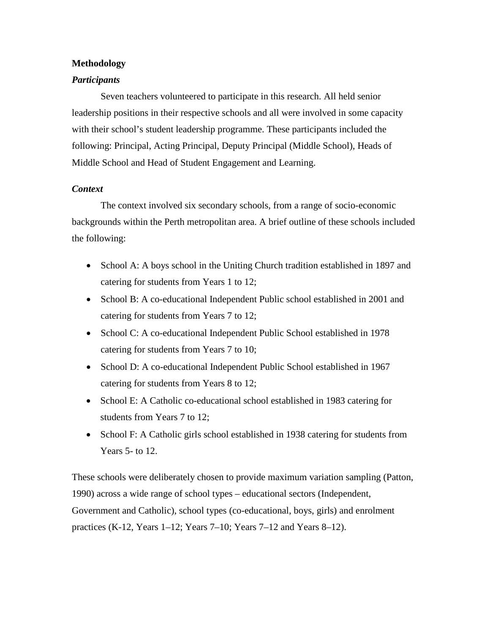## **Methodology**

## *Participants*

Seven teachers volunteered to participate in this research. All held senior leadership positions in their respective schools and all were involved in some capacity with their school's student leadership programme. These participants included the following: Principal, Acting Principal, Deputy Principal (Middle School), Heads of Middle School and Head of Student Engagement and Learning.

## *Context*

The context involved six secondary schools, from a range of socio-economic backgrounds within the Perth metropolitan area. A brief outline of these schools included the following:

- School A: A boys school in the Uniting Church tradition established in 1897 and catering for students from Years 1 to 12;
- School B: A co-educational Independent Public school established in 2001 and catering for students from Years 7 to 12;
- School C: A co-educational Independent Public School established in 1978 catering for students from Years 7 to 10;
- School D: A co-educational Independent Public School established in 1967 catering for students from Years 8 to 12;
- School E: A Catholic co-educational school established in 1983 catering for students from Years 7 to 12;
- School F: A Catholic girls school established in 1938 catering for students from Years 5- to 12.

These schools were deliberately chosen to provide maximum variation sampling (Patton, 1990) across a wide range of school types – educational sectors (Independent, Government and Catholic), school types (co-educational, boys, girls) and enrolment practices (K-12, Years 1–12; Years 7–10; Years 7–12 and Years 8–12).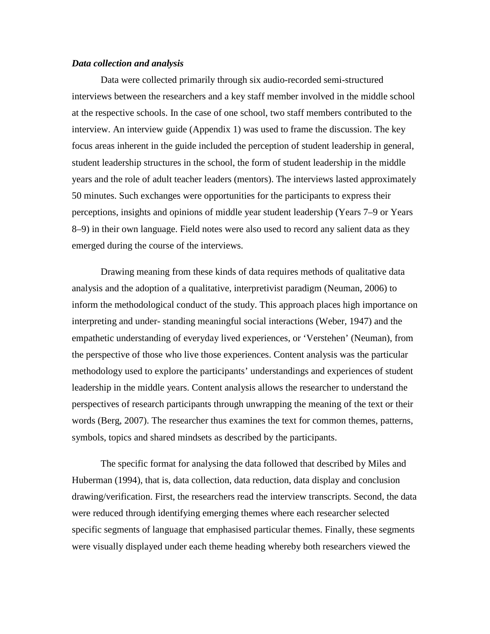#### *Data collection and analysis*

Data were collected primarily through six audio-recorded semi-structured interviews between the researchers and a key staff member involved in the middle school at the respective schools. In the case of one school, two staff members contributed to the interview. An interview guide (Appendix 1) was used to frame the discussion. The key focus areas inherent in the guide included the perception of student leadership in general, student leadership structures in the school, the form of student leadership in the middle years and the role of adult teacher leaders (mentors). The interviews lasted approximately 50 minutes. Such exchanges were opportunities for the participants to express their perceptions, insights and opinions of middle year student leadership (Years 7–9 or Years 8–9) in their own language. Field notes were also used to record any salient data as they emerged during the course of the interviews.

Drawing meaning from these kinds of data requires methods of qualitative data analysis and the adoption of a qualitative, interpretivist paradigm (Neuman, 2006) to inform the methodological conduct of the study. This approach places high importance on interpreting and under- standing meaningful social interactions (Weber, 1947) and the empathetic understanding of everyday lived experiences, or 'Verstehen' (Neuman), from the perspective of those who live those experiences. Content analysis was the particular methodology used to explore the participants' understandings and experiences of student leadership in the middle years. Content analysis allows the researcher to understand the perspectives of research participants through unwrapping the meaning of the text or their words (Berg, 2007). The researcher thus examines the text for common themes, patterns, symbols, topics and shared mindsets as described by the participants.

The specific format for analysing the data followed that described by Miles and Huberman (1994), that is, data collection, data reduction, data display and conclusion drawing/verification. First, the researchers read the interview transcripts. Second, the data were reduced through identifying emerging themes where each researcher selected specific segments of language that emphasised particular themes. Finally, these segments were visually displayed under each theme heading whereby both researchers viewed the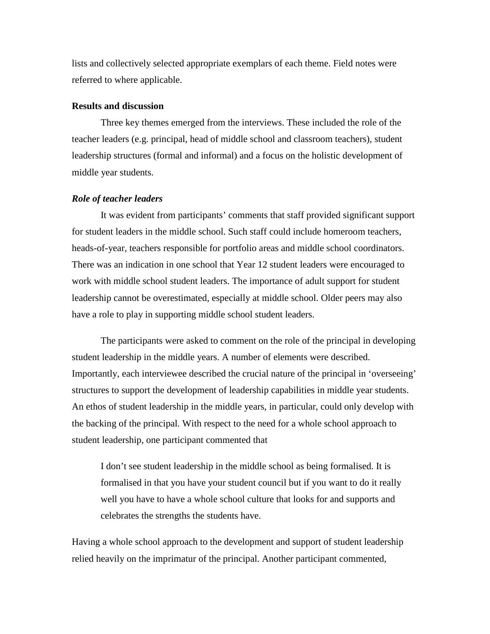lists and collectively selected appropriate exemplars of each theme. Field notes were referred to where applicable.

## **Results and discussion**

Three key themes emerged from the interviews. These included the role of the teacher leaders (e.g. principal, head of middle school and classroom teachers), student leadership structures (formal and informal) and a focus on the holistic development of middle year students.

#### *Role of teacher leaders*

It was evident from participants' comments that staff provided significant support for student leaders in the middle school. Such staff could include homeroom teachers, heads-of-year, teachers responsible for portfolio areas and middle school coordinators. There was an indication in one school that Year 12 student leaders were encouraged to work with middle school student leaders. The importance of adult support for student leadership cannot be overestimated, especially at middle school. Older peers may also have a role to play in supporting middle school student leaders.

The participants were asked to comment on the role of the principal in developing student leadership in the middle years. A number of elements were described. Importantly, each interviewee described the crucial nature of the principal in 'overseeing' structures to support the development of leadership capabilities in middle year students. An ethos of student leadership in the middle years, in particular, could only develop with the backing of the principal. With respect to the need for a whole school approach to student leadership, one participant commented that

I don't see student leadership in the middle school as being formalised. It is formalised in that you have your student council but if you want to do it really well you have to have a whole school culture that looks for and supports and celebrates the strengths the students have.

Having a whole school approach to the development and support of student leadership relied heavily on the imprimatur of the principal. Another participant commented,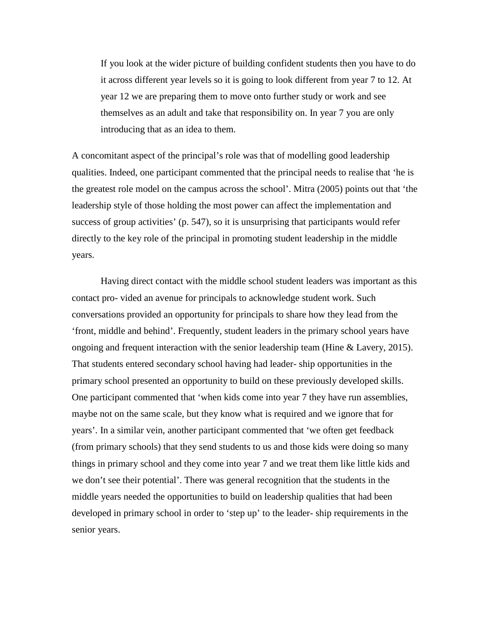If you look at the wider picture of building confident students then you have to do it across different year levels so it is going to look different from year 7 to 12. At year 12 we are preparing them to move onto further study or work and see themselves as an adult and take that responsibility on. In year 7 you are only introducing that as an idea to them.

A concomitant aspect of the principal's role was that of modelling good leadership qualities. Indeed, one participant commented that the principal needs to realise that 'he is the greatest role model on the campus across the school'. Mitra (2005) points out that 'the leadership style of those holding the most power can affect the implementation and success of group activities' (p. 547), so it is unsurprising that participants would refer directly to the key role of the principal in promoting student leadership in the middle years.

Having direct contact with the middle school student leaders was important as this contact pro- vided an avenue for principals to acknowledge student work. Such conversations provided an opportunity for principals to share how they lead from the 'front, middle and behind'. Frequently, student leaders in the primary school years have ongoing and frequent interaction with the senior leadership team (Hine & Lavery, 2015). That students entered secondary school having had leader- ship opportunities in the primary school presented an opportunity to build on these previously developed skills. One participant commented that 'when kids come into year 7 they have run assemblies, maybe not on the same scale, but they know what is required and we ignore that for years'. In a similar vein, another participant commented that 'we often get feedback (from primary schools) that they send students to us and those kids were doing so many things in primary school and they come into year 7 and we treat them like little kids and we don't see their potential'. There was general recognition that the students in the middle years needed the opportunities to build on leadership qualities that had been developed in primary school in order to 'step up' to the leader- ship requirements in the senior years.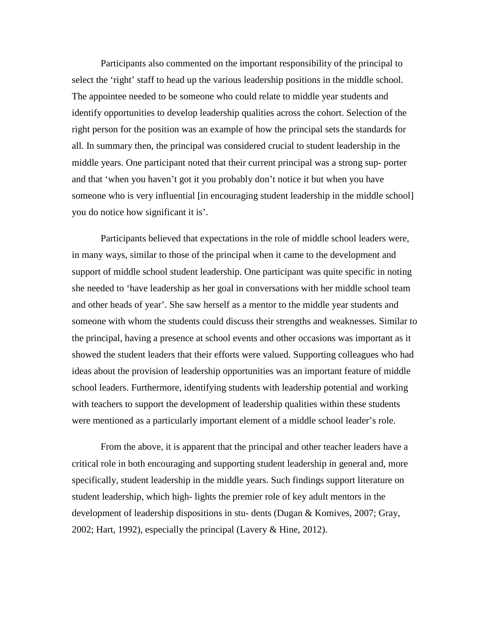Participants also commented on the important responsibility of the principal to select the 'right' staff to head up the various leadership positions in the middle school. The appointee needed to be someone who could relate to middle year students and identify opportunities to develop leadership qualities across the cohort. Selection of the right person for the position was an example of how the principal sets the standards for all. In summary then, the principal was considered crucial to student leadership in the middle years. One participant noted that their current principal was a strong sup- porter and that 'when you haven't got it you probably don't notice it but when you have someone who is very influential [in encouraging student leadership in the middle school] you do notice how significant it is'.

Participants believed that expectations in the role of middle school leaders were, in many ways, similar to those of the principal when it came to the development and support of middle school student leadership. One participant was quite specific in noting she needed to 'have leadership as her goal in conversations with her middle school team and other heads of year'. She saw herself as a mentor to the middle year students and someone with whom the students could discuss their strengths and weaknesses. Similar to the principal, having a presence at school events and other occasions was important as it showed the student leaders that their efforts were valued. Supporting colleagues who had ideas about the provision of leadership opportunities was an important feature of middle school leaders. Furthermore, identifying students with leadership potential and working with teachers to support the development of leadership qualities within these students were mentioned as a particularly important element of a middle school leader's role.

From the above, it is apparent that the principal and other teacher leaders have a critical role in both encouraging and supporting student leadership in general and, more specifically, student leadership in the middle years. Such findings support literature on student leadership, which high- lights the premier role of key adult mentors in the development of leadership dispositions in stu- dents (Dugan & Komives, 2007; Gray, 2002; Hart, 1992), especially the principal (Lavery & Hine, 2012).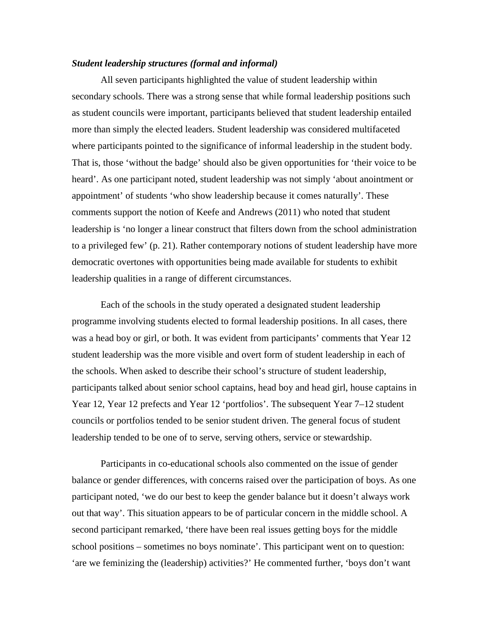## *Student leadership structures (formal and informal)*

All seven participants highlighted the value of student leadership within secondary schools. There was a strong sense that while formal leadership positions such as student councils were important, participants believed that student leadership entailed more than simply the elected leaders. Student leadership was considered multifaceted where participants pointed to the significance of informal leadership in the student body. That is, those 'without the badge' should also be given opportunities for 'their voice to be heard'. As one participant noted, student leadership was not simply 'about anointment or appointment' of students 'who show leadership because it comes naturally'. These comments support the notion of Keefe and Andrews (2011) who noted that student leadership is 'no longer a linear construct that filters down from the school administration to a privileged few' (p. 21). Rather contemporary notions of student leadership have more democratic overtones with opportunities being made available for students to exhibit leadership qualities in a range of different circumstances.

Each of the schools in the study operated a designated student leadership programme involving students elected to formal leadership positions. In all cases, there was a head boy or girl, or both. It was evident from participants' comments that Year 12 student leadership was the more visible and overt form of student leadership in each of the schools. When asked to describe their school's structure of student leadership, participants talked about senior school captains, head boy and head girl, house captains in Year 12, Year 12 prefects and Year 12 'portfolios'. The subsequent Year 7–12 student councils or portfolios tended to be senior student driven. The general focus of student leadership tended to be one of to serve, serving others, service or stewardship.

Participants in co-educational schools also commented on the issue of gender balance or gender differences, with concerns raised over the participation of boys. As one participant noted, 'we do our best to keep the gender balance but it doesn't always work out that way'. This situation appears to be of particular concern in the middle school. A second participant remarked, 'there have been real issues getting boys for the middle school positions – sometimes no boys nominate'. This participant went on to question: 'are we feminizing the (leadership) activities?' He commented further, 'boys don't want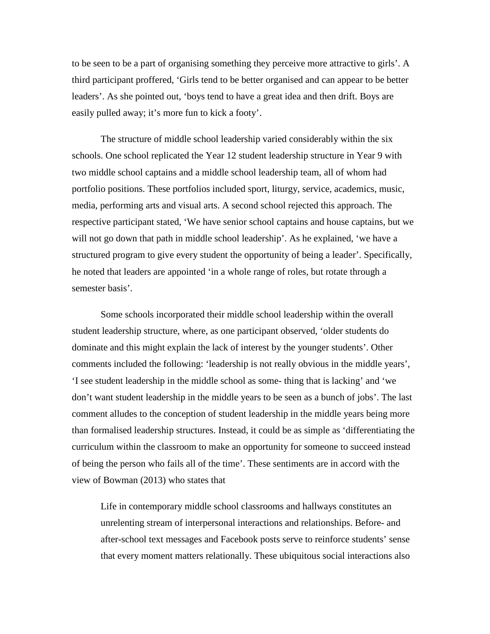to be seen to be a part of organising something they perceive more attractive to girls'. A third participant proffered, 'Girls tend to be better organised and can appear to be better leaders'. As she pointed out, 'boys tend to have a great idea and then drift. Boys are easily pulled away; it's more fun to kick a footy'.

The structure of middle school leadership varied considerably within the six schools. One school replicated the Year 12 student leadership structure in Year 9 with two middle school captains and a middle school leadership team, all of whom had portfolio positions. These portfolios included sport, liturgy, service, academics, music, media, performing arts and visual arts. A second school rejected this approach. The respective participant stated, 'We have senior school captains and house captains, but we will not go down that path in middle school leadership'. As he explained, 'we have a structured program to give every student the opportunity of being a leader'. Specifically, he noted that leaders are appointed 'in a whole range of roles, but rotate through a semester basis'.

Some schools incorporated their middle school leadership within the overall student leadership structure, where, as one participant observed, 'older students do dominate and this might explain the lack of interest by the younger students'. Other comments included the following: 'leadership is not really obvious in the middle years', 'I see student leadership in the middle school as some- thing that is lacking' and 'we don't want student leadership in the middle years to be seen as a bunch of jobs'. The last comment alludes to the conception of student leadership in the middle years being more than formalised leadership structures. Instead, it could be as simple as 'differentiating the curriculum within the classroom to make an opportunity for someone to succeed instead of being the person who fails all of the time'. These sentiments are in accord with the view of Bowman (2013) who states that

Life in contemporary middle school classrooms and hallways constitutes an unrelenting stream of interpersonal interactions and relationships. Before- and after-school text messages and Facebook posts serve to reinforce students' sense that every moment matters relationally. These ubiquitous social interactions also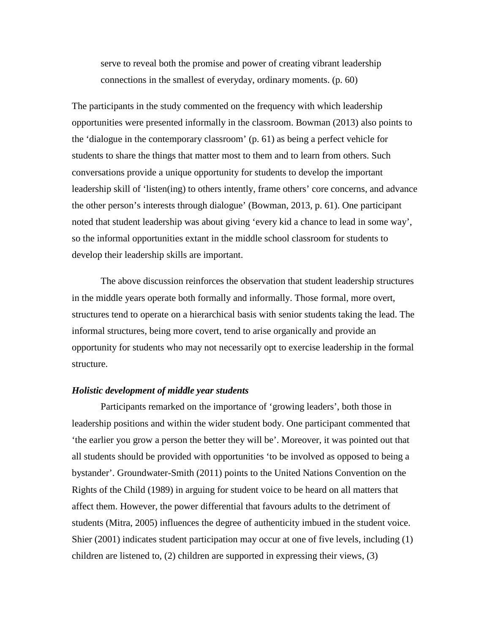serve to reveal both the promise and power of creating vibrant leadership connections in the smallest of everyday, ordinary moments. (p. 60)

The participants in the study commented on the frequency with which leadership opportunities were presented informally in the classroom. Bowman (2013) also points to the 'dialogue in the contemporary classroom' (p. 61) as being a perfect vehicle for students to share the things that matter most to them and to learn from others. Such conversations provide a unique opportunity for students to develop the important leadership skill of 'listen(ing) to others intently, frame others' core concerns, and advance the other person's interests through dialogue' (Bowman, 2013, p. 61). One participant noted that student leadership was about giving 'every kid a chance to lead in some way', so the informal opportunities extant in the middle school classroom for students to develop their leadership skills are important.

The above discussion reinforces the observation that student leadership structures in the middle years operate both formally and informally. Those formal, more overt, structures tend to operate on a hierarchical basis with senior students taking the lead. The informal structures, being more covert, tend to arise organically and provide an opportunity for students who may not necessarily opt to exercise leadership in the formal structure.

#### *Holistic development of middle year students*

Participants remarked on the importance of 'growing leaders', both those in leadership positions and within the wider student body. One participant commented that 'the earlier you grow a person the better they will be'. Moreover, it was pointed out that all students should be provided with opportunities 'to be involved as opposed to being a bystander'. Groundwater-Smith (2011) points to the United Nations Convention on the Rights of the Child (1989) in arguing for student voice to be heard on all matters that affect them. However, the power differential that favours adults to the detriment of students (Mitra, 2005) influences the degree of authenticity imbued in the student voice. Shier (2001) indicates student participation may occur at one of five levels, including (1) children are listened to, (2) children are supported in expressing their views, (3)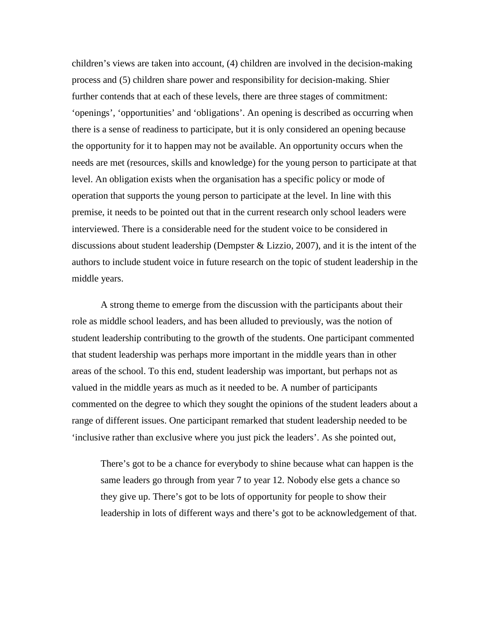children's views are taken into account, (4) children are involved in the decision-making process and (5) children share power and responsibility for decision-making. Shier further contends that at each of these levels, there are three stages of commitment: 'openings', 'opportunities' and 'obligations'. An opening is described as occurring when there is a sense of readiness to participate, but it is only considered an opening because the opportunity for it to happen may not be available. An opportunity occurs when the needs are met (resources, skills and knowledge) for the young person to participate at that level. An obligation exists when the organisation has a specific policy or mode of operation that supports the young person to participate at the level. In line with this premise, it needs to be pointed out that in the current research only school leaders were interviewed. There is a considerable need for the student voice to be considered in discussions about student leadership (Dempster & Lizzio, 2007), and it is the intent of the authors to include student voice in future research on the topic of student leadership in the middle years.

A strong theme to emerge from the discussion with the participants about their role as middle school leaders, and has been alluded to previously, was the notion of student leadership contributing to the growth of the students. One participant commented that student leadership was perhaps more important in the middle years than in other areas of the school. To this end, student leadership was important, but perhaps not as valued in the middle years as much as it needed to be. A number of participants commented on the degree to which they sought the opinions of the student leaders about a range of different issues. One participant remarked that student leadership needed to be 'inclusive rather than exclusive where you just pick the leaders'. As she pointed out,

There's got to be a chance for everybody to shine because what can happen is the same leaders go through from year 7 to year 12. Nobody else gets a chance so they give up. There's got to be lots of opportunity for people to show their leadership in lots of different ways and there's got to be acknowledgement of that.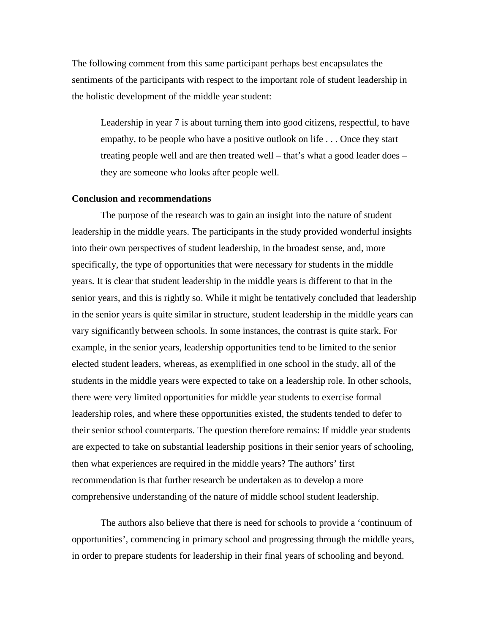The following comment from this same participant perhaps best encapsulates the sentiments of the participants with respect to the important role of student leadership in the holistic development of the middle year student:

Leadership in year 7 is about turning them into good citizens, respectful, to have empathy, to be people who have a positive outlook on life . . . Once they start treating people well and are then treated well – that's what a good leader does – they are someone who looks after people well.

### **Conclusion and recommendations**

The purpose of the research was to gain an insight into the nature of student leadership in the middle years. The participants in the study provided wonderful insights into their own perspectives of student leadership, in the broadest sense, and, more specifically, the type of opportunities that were necessary for students in the middle years. It is clear that student leadership in the middle years is different to that in the senior years, and this is rightly so. While it might be tentatively concluded that leadership in the senior years is quite similar in structure, student leadership in the middle years can vary significantly between schools. In some instances, the contrast is quite stark. For example, in the senior years, leadership opportunities tend to be limited to the senior elected student leaders, whereas, as exemplified in one school in the study, all of the students in the middle years were expected to take on a leadership role. In other schools, there were very limited opportunities for middle year students to exercise formal leadership roles, and where these opportunities existed, the students tended to defer to their senior school counterparts. The question therefore remains: If middle year students are expected to take on substantial leadership positions in their senior years of schooling, then what experiences are required in the middle years? The authors' first recommendation is that further research be undertaken as to develop a more comprehensive understanding of the nature of middle school student leadership.

The authors also believe that there is need for schools to provide a 'continuum of opportunities', commencing in primary school and progressing through the middle years, in order to prepare students for leadership in their final years of schooling and beyond.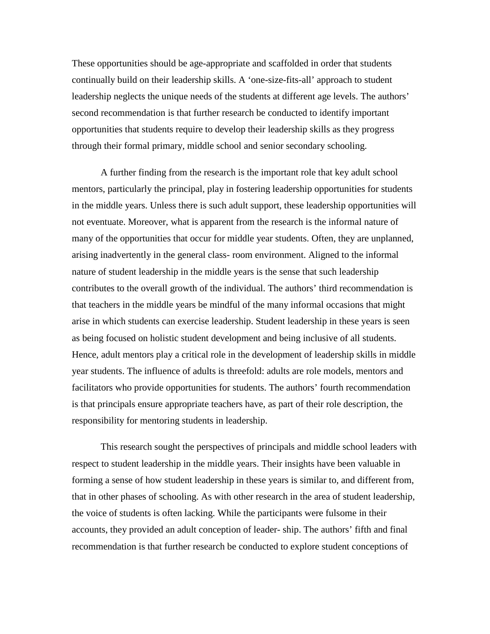These opportunities should be age-appropriate and scaffolded in order that students continually build on their leadership skills. A 'one-size-fits-all' approach to student leadership neglects the unique needs of the students at different age levels. The authors' second recommendation is that further research be conducted to identify important opportunities that students require to develop their leadership skills as they progress through their formal primary, middle school and senior secondary schooling.

A further finding from the research is the important role that key adult school mentors, particularly the principal, play in fostering leadership opportunities for students in the middle years. Unless there is such adult support, these leadership opportunities will not eventuate. Moreover, what is apparent from the research is the informal nature of many of the opportunities that occur for middle year students. Often, they are unplanned, arising inadvertently in the general class- room environment. Aligned to the informal nature of student leadership in the middle years is the sense that such leadership contributes to the overall growth of the individual. The authors' third recommendation is that teachers in the middle years be mindful of the many informal occasions that might arise in which students can exercise leadership. Student leadership in these years is seen as being focused on holistic student development and being inclusive of all students. Hence, adult mentors play a critical role in the development of leadership skills in middle year students. The influence of adults is threefold: adults are role models, mentors and facilitators who provide opportunities for students. The authors' fourth recommendation is that principals ensure appropriate teachers have, as part of their role description, the responsibility for mentoring students in leadership.

This research sought the perspectives of principals and middle school leaders with respect to student leadership in the middle years. Their insights have been valuable in forming a sense of how student leadership in these years is similar to, and different from, that in other phases of schooling. As with other research in the area of student leadership, the voice of students is often lacking. While the participants were fulsome in their accounts, they provided an adult conception of leader- ship. The authors' fifth and final recommendation is that further research be conducted to explore student conceptions of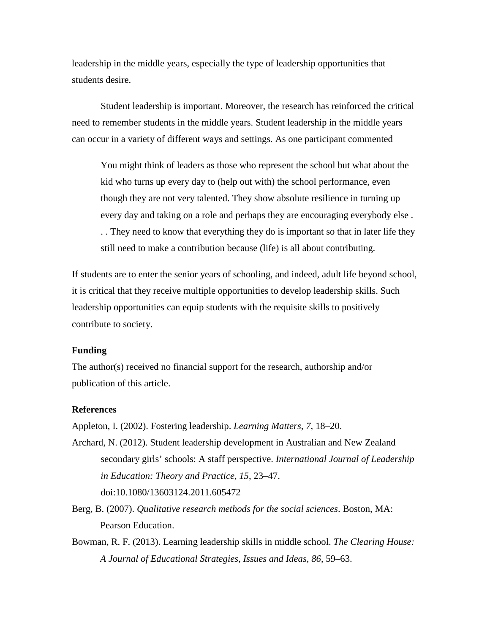leadership in the middle years, especially the type of leadership opportunities that students desire.

Student leadership is important. Moreover, the research has reinforced the critical need to remember students in the middle years. Student leadership in the middle years can occur in a variety of different ways and settings. As one participant commented

You might think of leaders as those who represent the school but what about the kid who turns up every day to (help out with) the school performance, even though they are not very talented. They show absolute resilience in turning up every day and taking on a role and perhaps they are encouraging everybody else . . . They need to know that everything they do is important so that in later life they still need to make a contribution because (life) is all about contributing.

If students are to enter the senior years of schooling, and indeed, adult life beyond school, it is critical that they receive multiple opportunities to develop leadership skills. Such leadership opportunities can equip students with the requisite skills to positively contribute to society.

#### **Funding**

The author(s) received no financial support for the research, authorship and/or publication of this article.

#### **References**

Appleton, I. (2002). Fostering leadership. *Learning Matters*, *7*, 18–20.

- Archard, N. (2012). Student leadership development in Australian and New Zealand secondary girls' schools: A staff perspective. *International Journal of Leadership in Education: Theory and Practice*, *15*, 23–47. doi:10.1080/13603124.2011.605472
- Berg, B. (2007). *Qualitative research methods for the social sciences*. Boston, MA: Pearson Education.
- Bowman, R. F. (2013). Learning leadership skills in middle school. *The Clearing House: A Journal of Educational Strategies, Issues and Ideas*, *86*, 59–63.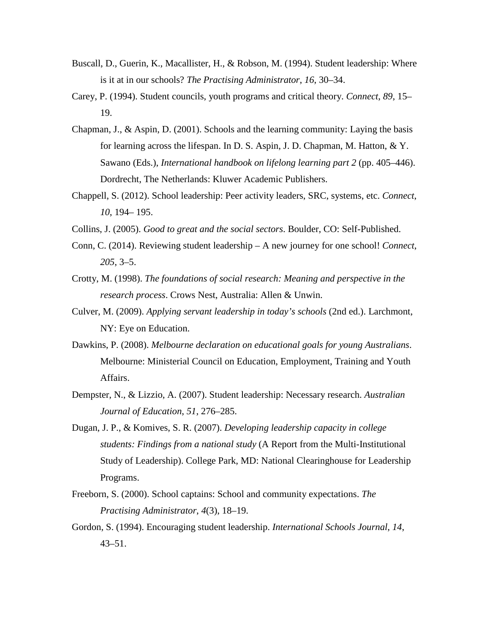- Buscall, D., Guerin, K., Macallister, H., & Robson, M. (1994). Student leadership: Where is it at in our schools? *The Practising Administrator*, *16*, 30–34.
- Carey, P. (1994). Student councils, youth programs and critical theory. *Connect*, *89*, 15– 19.
- Chapman, J., & Aspin, D. (2001). Schools and the learning community: Laying the basis for learning across the lifespan. In D. S. Aspin, J. D. Chapman, M. Hatton, & Y. Sawano (Eds.), *International handbook on lifelong learning part 2* (pp. 405–446). Dordrecht, The Netherlands: Kluwer Academic Publishers.
- Chappell, S. (2012). School leadership: Peer activity leaders, SRC, systems, etc. *Connect*, *10*, 194– 195.
- Collins, J. (2005). *Good to great and the social sectors*. Boulder, CO: Self-Published.
- Conn, C. (2014). Reviewing student leadership A new journey for one school! *Connect*, *205*, 3–5.
- Crotty, M. (1998). *The foundations of social research: Meaning and perspective in the research process*. Crows Nest, Australia: Allen & Unwin.
- Culver, M. (2009). *Applying servant leadership in today's schools* (2nd ed.). Larchmont, NY: Eye on Education.
- Dawkins, P. (2008). *Melbourne declaration on educational goals for young Australians*. Melbourne: Ministerial Council on Education, Employment, Training and Youth Affairs.
- Dempster, N., & Lizzio, A. (2007). Student leadership: Necessary research. *Australian Journal of Education*, *51*, 276–285.
- Dugan, J. P., & Komives, S. R. (2007). *Developing leadership capacity in college students: Findings from a national study* (A Report from the Multi-Institutional Study of Leadership). College Park, MD: National Clearinghouse for Leadership Programs.
- Freeborn, S. (2000). School captains: School and community expectations. *The Practising Administrator*, *4*(3), 18–19.
- Gordon, S. (1994). Encouraging student leadership. *International Schools Journal*, *14*, 43–51.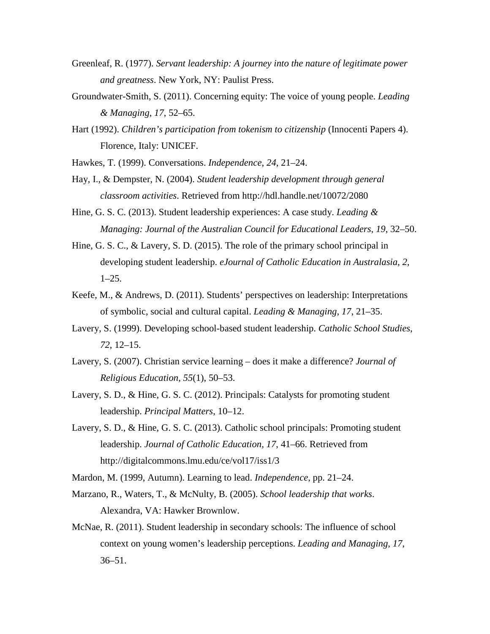- Greenleaf, R. (1977). *Servant leadership: A journey into the nature of legitimate power and greatness*. New York, NY: Paulist Press.
- Groundwater-Smith, S. (2011). Concerning equity: The voice of young people. *Leading & Managing*, *17*, 52–65.
- Hart (1992). *Children's participation from tokenism to citizenship* (Innocenti Papers 4). Florence, Italy: UNICEF.
- Hawkes, T. (1999). Conversations. *Independence*, *24*, 21–24.
- Hay, I., & Dempster, N. (2004). *Student leadership development through general classroom activities*. Retrieved from http://hdl.handle.net/10072/2080
- Hine, G. S. C. (2013). Student leadership experiences: A case study. *Leading & Managing: Journal of the Australian Council for Educational Leaders*, *19*, 32–50.
- Hine, G. S. C., & Lavery, S. D. (2015). The role of the primary school principal in developing student leadership. *eJournal of Catholic Education in Australasia*, *2*,  $1-25$ .
- Keefe, M., & Andrews, D. (2011). Students' perspectives on leadership: Interpretations of symbolic, social and cultural capital. *Leading & Managing*, *17*, 21–35.
- Lavery, S. (1999). Developing school-based student leadership. *Catholic School Studies*, *72*, 12–15.
- Lavery, S. (2007). Christian service learning does it make a difference? *Journal of Religious Education*, *55*(1), 50–53.
- Lavery, S. D., & Hine, G. S. C. (2012). Principals: Catalysts for promoting student leadership. *Principal Matters*, 10–12.
- Lavery, S. D., & Hine, G. S. C. (2013). Catholic school principals: Promoting student leadership. *Journal of Catholic Education*, *17*, 41–66. Retrieved from http://digitalcommons.lmu.edu/ce/vol17/iss1/3
- Mardon, M. (1999, Autumn). Learning to lead. *Independence*, pp. 21–24.
- Marzano, R., Waters, T., & McNulty, B. (2005). *School leadership that works*. Alexandra, VA: Hawker Brownlow.
- McNae, R. (2011). Student leadership in secondary schools: The influence of school context on young women's leadership perceptions. *Leading and Managing*, *17*,  $36 - 51$ .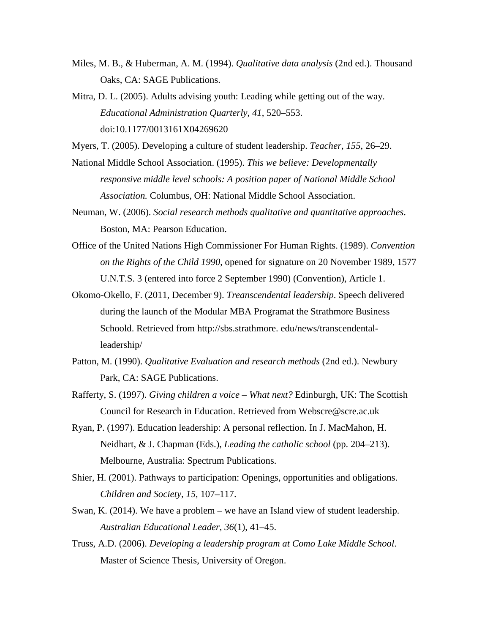- Miles, M. B., & Huberman, A. M. (1994). *Qualitative data analysis* (2nd ed.). Thousand Oaks, CA: SAGE Publications.
- Mitra, D. L. (2005). Adults advising youth: Leading while getting out of the way. *Educational Administration Quarterly*, *41*, 520–553. doi:10.1177/0013161X04269620
- Myers, T. (2005). Developing a culture of student leadership. *Teacher*, *155*, 26–29.
- National Middle School Association. (1995). *This we believe: Developmentally responsive middle level schools: A position paper of National Middle School Association.* Columbus, OH: National Middle School Association.
- Neuman, W. (2006). *Social research methods qualitative and quantitative approaches*. Boston, MA: Pearson Education.
- Office of the United Nations High Commissioner For Human Rights. (1989). *Convention on the Rights of the Child 1990*, opened for signature on 20 November 1989, 1577 U.N.T.S. 3 (entered into force 2 September 1990) (Convention), Article 1.
- Okomo-Okello, F. (2011, December 9). *Treanscendental leadership*. Speech delivered during the launch of the Modular MBA Programat the Strathmore Business Schoold. Retrieved from http://sbs.strathmore. edu/news/transcendentalleadership/
- Patton, M. (1990). *Qualitative Evaluation and research methods* (2nd ed.). Newbury Park, CA: SAGE Publications.
- Rafferty, S. (1997). *Giving children a voice – What next?* Edinburgh, UK: The Scottish Council for Research in Education. Retrieved from Webscre@scre.ac.uk
- Ryan, P. (1997). Education leadership: A personal reflection. In J. MacMahon, H. Neidhart, & J. Chapman (Eds.), *Leading the catholic school* (pp. 204–213). Melbourne, Australia: Spectrum Publications.
- Shier, H. (2001). Pathways to participation: Openings, opportunities and obligations. *Children and Society*, *15*, 107–117.
- Swan, K. (2014). We have a problem we have an Island view of student leadership. *Australian Educational Leader*, *36*(1), 41–45.
- Truss, A.D. (2006). *Developing a leadership program at Como Lake Middle School*. Master of Science Thesis, University of Oregon.